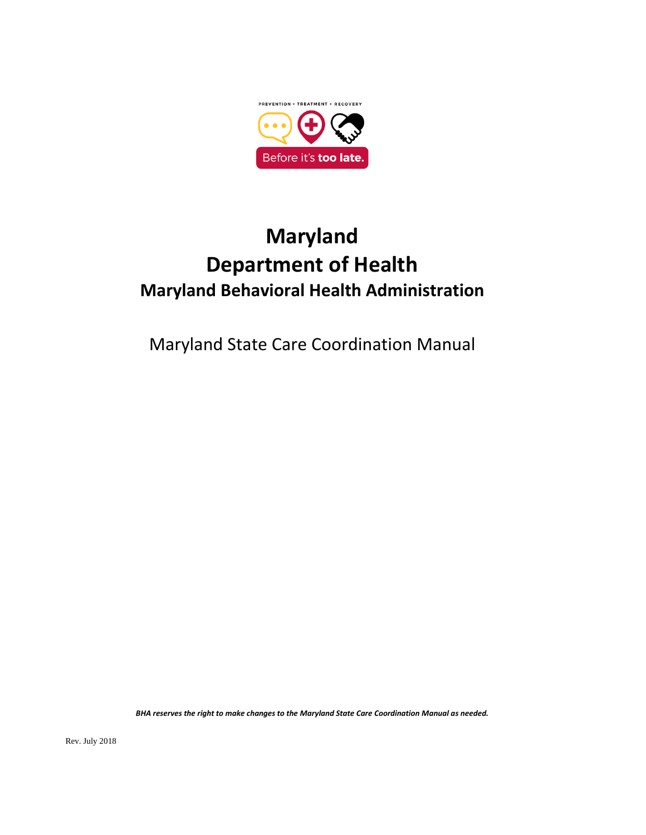

# **Maryland Department of Health Maryland Behavioral Health Administration**

Maryland State Care Coordination Manual

*BHA reserves the right to make changes to the Maryland State Care Coordination Manual as needed.*

Rev. July 2018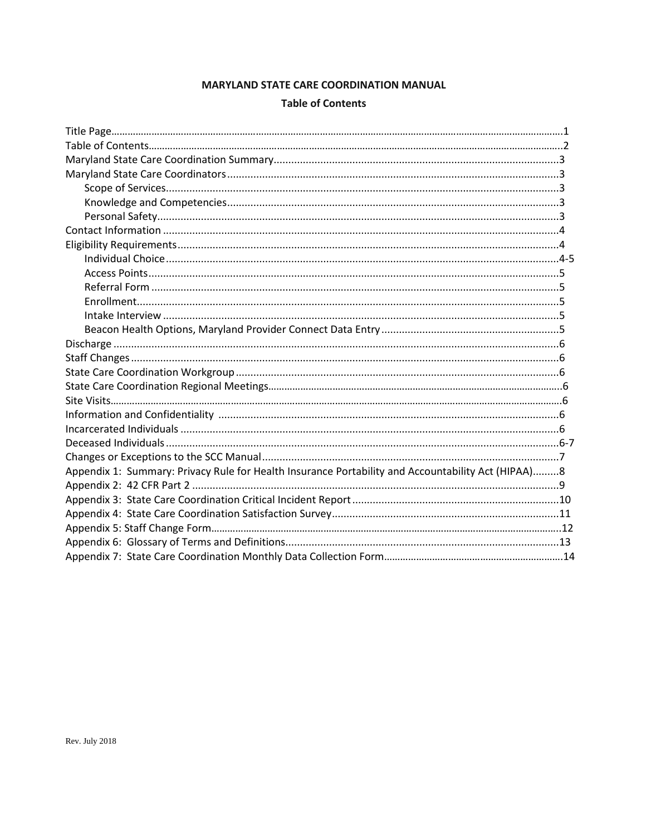## **MARYLAND STATE CARE COORDINATION MANUAL**

#### **Table of Contents**

| Appendix 1: Summary: Privacy Rule for Health Insurance Portability and Accountability Act (HIPAA)8 |  |
|----------------------------------------------------------------------------------------------------|--|
|                                                                                                    |  |
|                                                                                                    |  |
|                                                                                                    |  |
|                                                                                                    |  |
|                                                                                                    |  |
|                                                                                                    |  |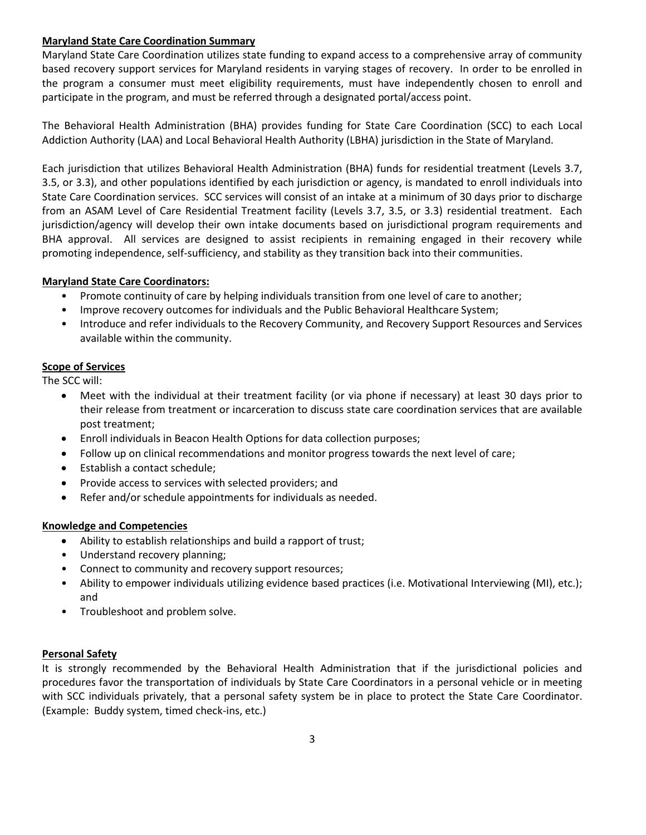## **Maryland State Care Coordination Summary**

Maryland State Care Coordination utilizes state funding to expand access to a comprehensive array of community based recovery support services for Maryland residents in varying stages of recovery. In order to be enrolled in the program a consumer must meet eligibility requirements, must have independently chosen to enroll and participate in the program, and must be referred through a designated portal/access point.

The Behavioral Health Administration (BHA) provides funding for State Care Coordination (SCC) to each Local Addiction Authority (LAA) and Local Behavioral Health Authority (LBHA) jurisdiction in the State of Maryland.

Each jurisdiction that utilizes Behavioral Health Administration (BHA) funds for residential treatment (Levels 3.7, 3.5, or 3.3), and other populations identified by each jurisdiction or agency, is mandated to enroll individuals into State Care Coordination services. SCC services will consist of an intake at a minimum of 30 days prior to discharge from an ASAM Level of Care Residential Treatment facility (Levels 3.7, 3.5, or 3.3) residential treatment. Each jurisdiction/agency will develop their own intake documents based on jurisdictional program requirements and BHA approval. All services are designed to assist recipients in remaining engaged in their recovery while promoting independence, self-sufficiency, and stability as they transition back into their communities.

## **Maryland State Care Coordinators:**

- Promote continuity of care by helping individuals transition from one level of care to another;
- Improve recovery outcomes for individuals and the Public Behavioral Healthcare System;
- Introduce and refer individuals to the Recovery Community, and Recovery Support Resources and Services available within the community.

## **Scope of Services**

The SCC will:

- Meet with the individual at their treatment facility (or via phone if necessary) at least 30 days prior to their release from treatment or incarceration to discuss state care coordination services that are available post treatment;
- Enroll individuals in Beacon Health Options for data collection purposes;
- Follow up on clinical recommendations and monitor progress towards the next level of care;
- Establish a contact schedule;
- Provide access to services with selected providers; and
- Refer and/or schedule appointments for individuals as needed.

## **Knowledge and Competencies**

- Ability to establish relationships and build a rapport of trust;
- Understand recovery planning;
- Connect to community and recovery support resources;
- Ability to empower individuals utilizing evidence based practices (i.e. Motivational Interviewing (MI), etc.); and
- Troubleshoot and problem solve.

## **Personal Safety**

It is strongly recommended by the Behavioral Health Administration that if the jurisdictional policies and procedures favor the transportation of individuals by State Care Coordinators in a personal vehicle or in meeting with SCC individuals privately, that a personal safety system be in place to protect the State Care Coordinator. (Example: Buddy system, timed check-ins, etc.)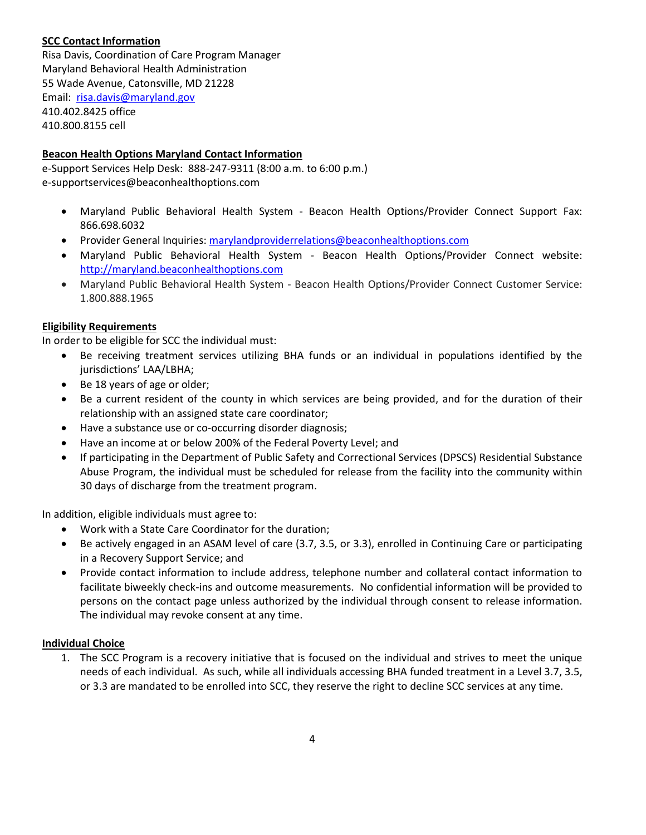## **SCC Contact Information**

Risa Davis, Coordination of Care Program Manager Maryland Behavioral Health Administration 55 Wade Avenue, Catonsville, MD 21228 Email: [risa.davis@maryland.gov](mailto:risa.davis@maryland.gov) 410.402.8425 office 410.800.8155 cell

## **Beacon Health Options Maryland Contact Information**

e-Support Services Help Desk: 888-247-9311 (8:00 a.m. to 6:00 p.m.) e-supportservices@beaconhealthoptions.com

- Maryland Public Behavioral Health System Beacon Health Options/Provider Connect Support Fax: 866.698.6032
- **•** Provider General Inquiries: [marylandproviderrelations@beaconhealthoptions.com](mailto:marylandproviderrelations@beaconhealthoptions.com)
- Maryland Public Behavioral Health System Beacon Health Options/Provider Connect website: [http://maryland.beaconhealthoptions.com](http://maryland.beaconhealthoptions.com/)
- Maryland Public Behavioral Health System Beacon Health Options/Provider Connect Customer Service: 1.800.888.1965

## **Eligibility Requirements**

In order to be eligible for SCC the individual must:

- Be receiving treatment services utilizing BHA funds or an individual in populations identified by the jurisdictions' LAA/LBHA;
- Be 18 years of age or older;
- Be a current resident of the county in which services are being provided, and for the duration of their relationship with an assigned state care coordinator;
- Have a substance use or co-occurring disorder diagnosis;
- Have an income at or below 200% of the Federal Poverty Level; and
- If participating in the Department of Public Safety and Correctional Services (DPSCS) Residential Substance Abuse Program, the individual must be scheduled for release from the facility into the community within 30 days of discharge from the treatment program.

In addition, eligible individuals must agree to:

- Work with a State Care Coordinator for the duration;
- Be actively engaged in an ASAM level of care (3.7, 3.5, or 3.3), enrolled in Continuing Care or participating in a Recovery Support Service; and
- Provide contact information to include address, telephone number and collateral contact information to facilitate biweekly check-ins and outcome measurements. No confidential information will be provided to persons on the contact page unless authorized by the individual through consent to release information. The individual may revoke consent at any time.

## **Individual Choice**

1. The SCC Program is a recovery initiative that is focused on the individual and strives to meet the unique needs of each individual. As such, while all individuals accessing BHA funded treatment in a Level 3.7, 3.5, or 3.3 are mandated to be enrolled into SCC, they reserve the right to decline SCC services at any time.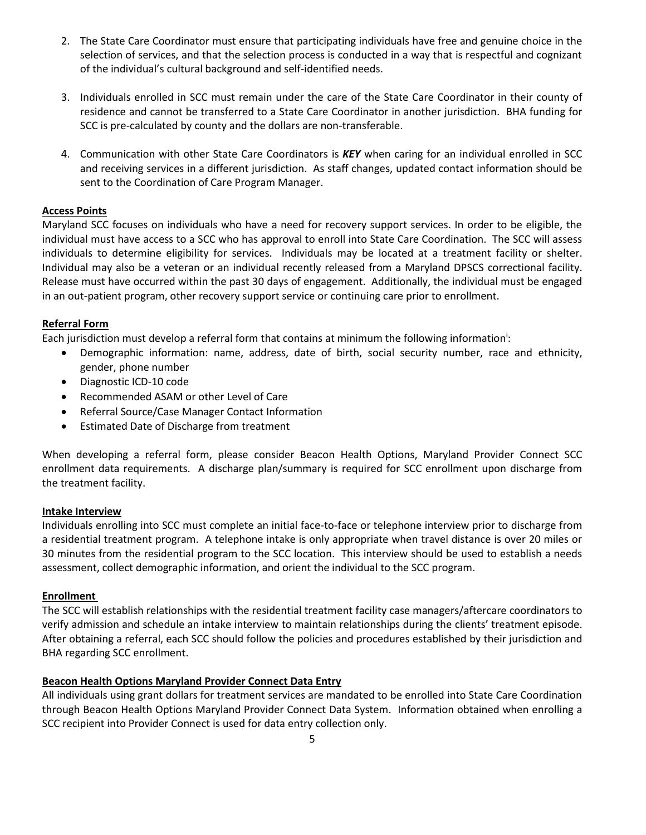- 2. The State Care Coordinator must ensure that participating individuals have free and genuine choice in the selection of services, and that the selection process is conducted in a way that is respectful and cognizant of the individual's cultural background and self-identified needs.
- 3. Individuals enrolled in SCC must remain under the care of the State Care Coordinator in their county of residence and cannot be transferred to a State Care Coordinator in another jurisdiction. BHA funding for SCC is pre-calculated by county and the dollars are non-transferable.
- 4. Communication with other State Care Coordinators is *KEY* when caring for an individual enrolled in SCC and receiving services in a different jurisdiction. As staff changes, updated contact information should be sent to the Coordination of Care Program Manager.

## **Access Points**

Maryland SCC focuses on individuals who have a need for recovery support services. In order to be eligible, the individual must have access to a SCC who has approval to enroll into State Care Coordination. The SCC will assess individuals to determine eligibility for services. Individuals may be located at a treatment facility or shelter. Individual may also be a veteran or an individual recently released from a Maryland DPSCS correctional facility. Release must have occurred within the past 30 days of engagement. Additionally, the individual must be engaged in an out-patient program, other recovery support service or continuing care prior to enrollment.

## **Referral Form**

Each jurisdiction must develop a referral form that contains at minimum the following information<sup>i</sup>:

- Demographic information: name, address, date of birth, social security number, race and ethnicity, gender, phone number
- Diagnostic ICD-10 code
- Recommended ASAM or other Level of Care
- Referral Source/Case Manager Contact Information
- Estimated Date of Discharge from treatment

When developing a referral form, please consider Beacon Health Options, Maryland Provider Connect SCC enrollment data requirements. A discharge plan/summary is required for SCC enrollment upon discharge from the treatment facility.

## **Intake Interview**

Individuals enrolling into SCC must complete an initial face-to-face or telephone interview prior to discharge from a residential treatment program. A telephone intake is only appropriate when travel distance is over 20 miles or 30 minutes from the residential program to the SCC location. This interview should be used to establish a needs assessment, collect demographic information, and orient the individual to the SCC program.

## **Enrollment**

The SCC will establish relationships with the residential treatment facility case managers/aftercare coordinators to verify admission and schedule an intake interview to maintain relationships during the clients' treatment episode. After obtaining a referral, each SCC should follow the policies and procedures established by their jurisdiction and BHA regarding SCC enrollment.

## **Beacon Health Options Maryland Provider Connect Data Entry**

All individuals using grant dollars for treatment services are mandated to be enrolled into State Care Coordination through Beacon Health Options Maryland Provider Connect Data System. Information obtained when enrolling a SCC recipient into Provider Connect is used for data entry collection only.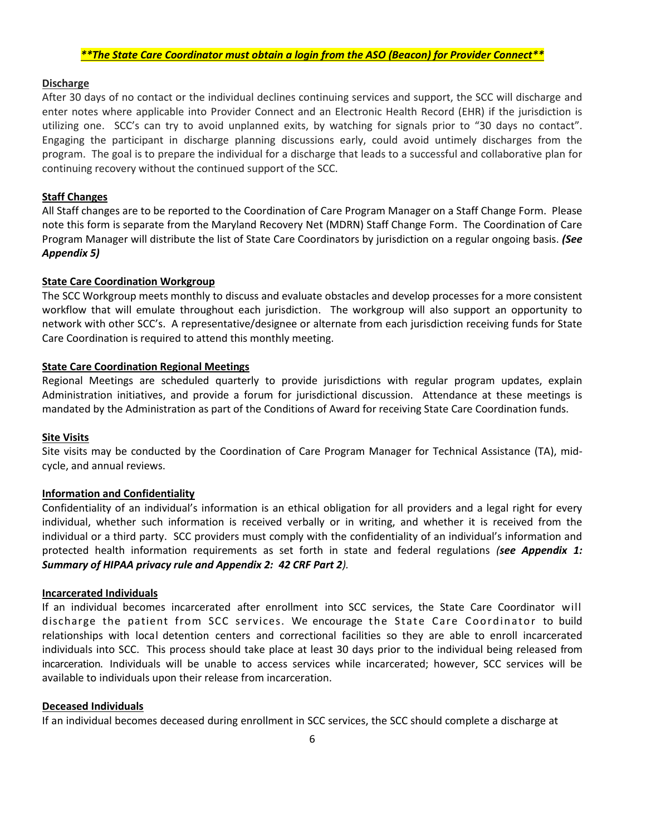#### *\*\*The State Care Coordinator must obtain a login from the ASO (Beacon) for Provider Connect\*\**

#### **Discharge**

After 30 days of no contact or the individual declines continuing services and support, the SCC will discharge and enter notes where applicable into Provider Connect and an Electronic Health Record (EHR) if the jurisdiction is utilizing one. SCC's can try to avoid unplanned exits, by watching for signals prior to "30 days no contact". Engaging the participant in discharge planning discussions early, could avoid untimely discharges from the program. The goal is to prepare the individual for a discharge that leads to a successful and collaborative plan for continuing recovery without the continued support of the SCC.

#### **Staff Changes**

All Staff changes are to be reported to the Coordination of Care Program Manager on a Staff Change Form. Please note this form is separate from the Maryland Recovery Net (MDRN) Staff Change Form. The Coordination of Care Program Manager will distribute the list of State Care Coordinators by jurisdiction on a regular ongoing basis. *(See Appendix 5)*

#### **State Care Coordination Workgroup**

The SCC Workgroup meets monthly to discuss and evaluate obstacles and develop processes for a more consistent workflow that will emulate throughout each jurisdiction. The workgroup will also support an opportunity to network with other SCC's. A representative/designee or alternate from each jurisdiction receiving funds for State Care Coordination is required to attend this monthly meeting.

#### **State Care Coordination Regional Meetings**

Regional Meetings are scheduled quarterly to provide jurisdictions with regular program updates, explain Administration initiatives, and provide a forum for jurisdictional discussion. Attendance at these meetings is mandated by the Administration as part of the Conditions of Award for receiving State Care Coordination funds.

#### **Site Visits**

Site visits may be conducted by the Coordination of Care Program Manager for Technical Assistance (TA), midcycle, and annual reviews.

#### **Information and Confidentiality**

Confidentiality of an individual's information is an ethical obligation for all providers and a legal right for every individual, whether such information is received verbally or in writing, and whether it is received from the individual or a third party. SCC providers must comply with the confidentiality of an individual's information and protected health information requirements as set forth in state and federal regulations *(see Appendix 1: Summary of HIPAA privacy rule and Appendix 2: 42 CRF Part 2).*

#### **Incarcerated Individuals**

If an individual becomes incarcerated after enrollment into SCC services, the State Care Coordinator will discharge the patient from SCC services. We encourage the State Care Coordinator to build relationships with local detention centers and correctional facilities so they are able to enroll incarcerated individuals into SCC. This process should take place at least 30 days prior to the individual being released from incarceration. Individuals will be unable to access services while incarcerated; however, SCC services will be available to individuals upon their release from incarceration.

#### **Deceased Individuals**

If an individual becomes deceased during enrollment in SCC services, the SCC should complete a discharge at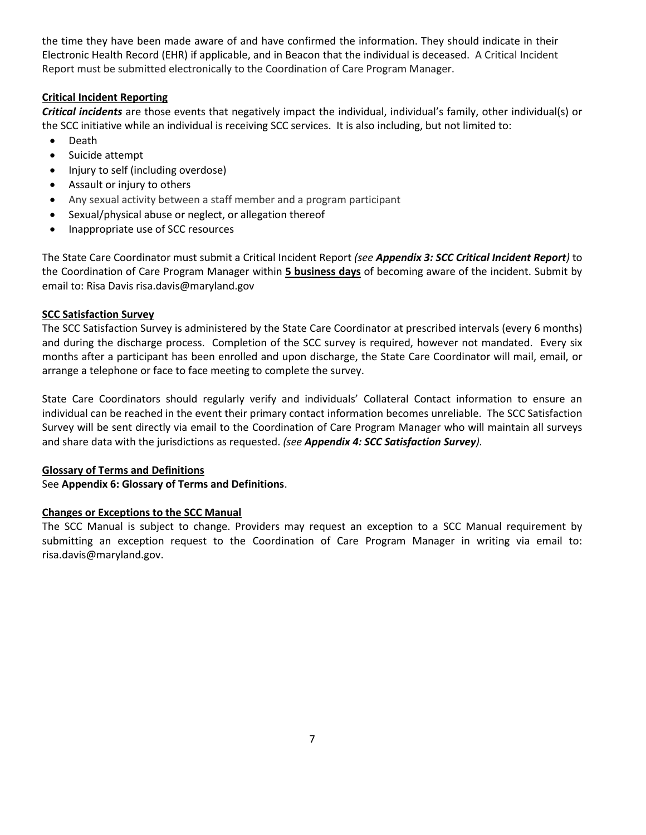the time they have been made aware of and have confirmed the information. They should indicate in their Electronic Health Record (EHR) if applicable, and in Beacon that the individual is deceased. A Critical Incident Report must be submitted electronically to the Coordination of Care Program Manager.

## **Critical Incident Reporting**

*Critical incidents* are those events that negatively impact the individual, individual's family, other individual(s) or the SCC initiative while an individual is receiving SCC services. It is also including, but not limited to:

- Death
- Suicide attempt
- Injury to self (including overdose)
- Assault or injury to others
- Any sexual activity between a staff member and a program participant
- Sexual/physical abuse or neglect, or allegation thereof
- Inappropriate use of SCC resources

The State Care Coordinator must submit a Critical Incident Report *(see Appendix 3: SCC Critical Incident Report)* to the Coordination of Care Program Manager within **5 business days** of becoming aware of the incident. Submit by email to: Risa Davis risa.davis@maryland.gov

## **SCC Satisfaction Survey**

The SCC Satisfaction Survey is administered by the State Care Coordinator at prescribed intervals (every 6 months) and during the discharge process. Completion of the SCC survey is required, however not mandated. Every six months after a participant has been enrolled and upon discharge, the State Care Coordinator will mail, email, or arrange a telephone or face to face meeting to complete the survey.

State Care Coordinators should regularly verify and individuals' Collateral Contact information to ensure an individual can be reached in the event their primary contact information becomes unreliable. The SCC Satisfaction Survey will be sent directly via email to the Coordination of Care Program Manager who will maintain all surveys and share data with the jurisdictions as requested. *(see Appendix 4: SCC Satisfaction Survey).* 

## **Glossary of Terms and Definitions**

See **Appendix 6: Glossary of Terms and Definitions**.

## **Changes or Exceptions to the SCC Manual**

The SCC Manual is subject to change. Providers may request an exception to a SCC Manual requirement by submitting an exception request to the Coordination of Care Program Manager in writing via email to: risa.davis@maryland.gov.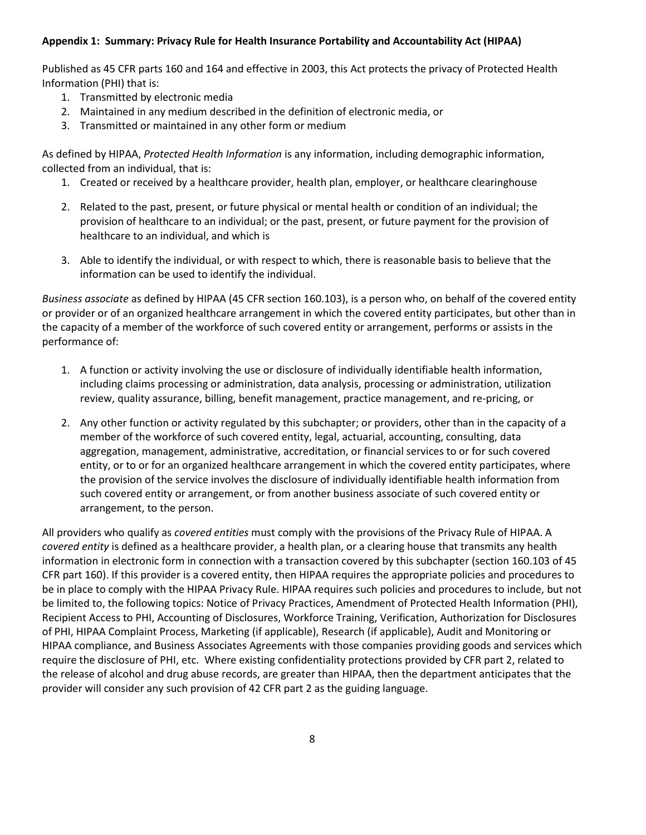## **Appendix 1: Summary: Privacy Rule for Health Insurance Portability and Accountability Act (HIPAA)**

Published as 45 CFR parts 160 and 164 and effective in 2003, this Act protects the privacy of Protected Health Information (PHI) that is:

- 1. Transmitted by electronic media
- 2. Maintained in any medium described in the definition of electronic media, or
- 3. Transmitted or maintained in any other form or medium

As defined by HIPAA, *Protected Health Information* is any information, including demographic information, collected from an individual, that is:

- 1. Created or received by a healthcare provider, health plan, employer, or healthcare clearinghouse
- 2. Related to the past, present, or future physical or mental health or condition of an individual; the provision of healthcare to an individual; or the past, present, or future payment for the provision of healthcare to an individual, and which is
- 3. Able to identify the individual, or with respect to which, there is reasonable basis to believe that the information can be used to identify the individual.

*Business associate* as defined by HIPAA (45 CFR section 160.103), is a person who, on behalf of the covered entity or provider or of an organized healthcare arrangement in which the covered entity participates, but other than in the capacity of a member of the workforce of such covered entity or arrangement, performs or assists in the performance of:

- 1. A function or activity involving the use or disclosure of individually identifiable health information, including claims processing or administration, data analysis, processing or administration, utilization review, quality assurance, billing, benefit management, practice management, and re-pricing, or
- 2. Any other function or activity regulated by this subchapter; or providers, other than in the capacity of a member of the workforce of such covered entity, legal, actuarial, accounting, consulting, data aggregation, management, administrative, accreditation, or financial services to or for such covered entity, or to or for an organized healthcare arrangement in which the covered entity participates, where the provision of the service involves the disclosure of individually identifiable health information from such covered entity or arrangement, or from another business associate of such covered entity or arrangement, to the person.

All providers who qualify as *covered entities* must comply with the provisions of the Privacy Rule of HIPAA. A *covered entity* is defined as a healthcare provider, a health plan, or a clearing house that transmits any health information in electronic form in connection with a transaction covered by this subchapter (section 160.103 of 45 CFR part 160). If this provider is a covered entity, then HIPAA requires the appropriate policies and procedures to be in place to comply with the HIPAA Privacy Rule. HIPAA requires such policies and procedures to include, but not be limited to, the following topics: Notice of Privacy Practices, Amendment of Protected Health Information (PHI), Recipient Access to PHI, Accounting of Disclosures, Workforce Training, Verification, Authorization for Disclosures of PHI, HIPAA Complaint Process, Marketing (if applicable), Research (if applicable), Audit and Monitoring or HIPAA compliance, and Business Associates Agreements with those companies providing goods and services which require the disclosure of PHI, etc. Where existing confidentiality protections provided by CFR part 2, related to the release of alcohol and drug abuse records, are greater than HIPAA, then the department anticipates that the provider will consider any such provision of 42 CFR part 2 as the guiding language.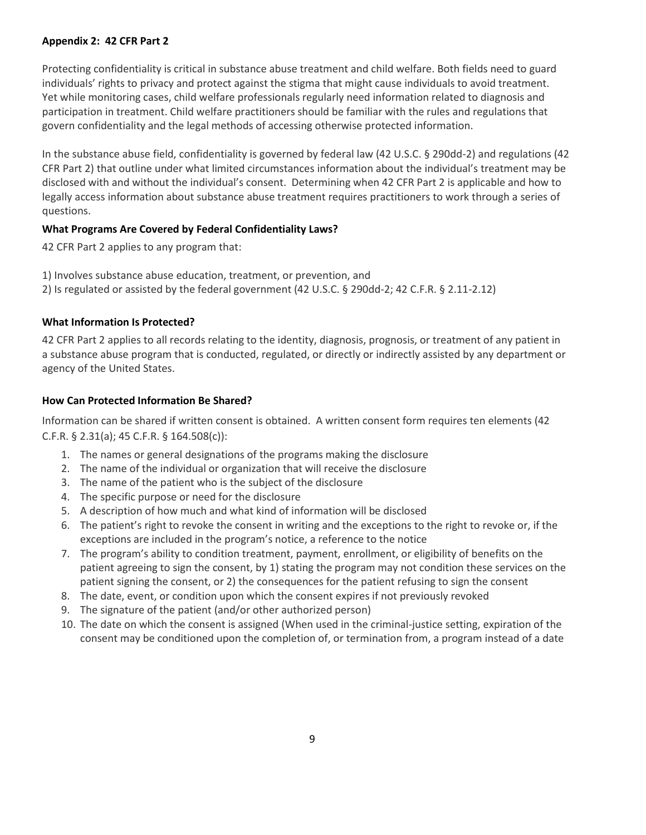## **Appendix 2: 42 CFR Part 2**

Protecting confidentiality is critical in substance abuse treatment and child welfare. Both fields need to guard individuals' rights to privacy and protect against the stigma that might cause individuals to avoid treatment. Yet while monitoring cases, child welfare professionals regularly need information related to diagnosis and participation in treatment. Child welfare practitioners should be familiar with the rules and regulations that govern confidentiality and the legal methods of accessing otherwise protected information.

In the substance abuse field, confidentiality is governed by federal law (42 U.S.C. § 290dd-2) and regulations (42 CFR Part 2) that outline under what limited circumstances information about the individual's treatment may be disclosed with and without the individual's consent. Determining when 42 CFR Part 2 is applicable and how to legally access information about substance abuse treatment requires practitioners to work through a series of questions.

## **What Programs Are Covered by Federal Confidentiality Laws?**

42 CFR Part 2 applies to any program that:

1) Involves substance abuse education, treatment, or prevention, and

2) Is regulated or assisted by the federal government (42 U.S.C. § 290dd-2; 42 C.F.R. § 2.11-2.12)

## **What Information Is Protected?**

42 CFR Part 2 applies to all records relating to the identity, diagnosis, prognosis, or treatment of any patient in a substance abuse program that is conducted, regulated, or directly or indirectly assisted by any department or agency of the United States.

## **How Can Protected Information Be Shared?**

Information can be shared if written consent is obtained. A written consent form requires ten elements (42 C.F.R. § 2.31(a); 45 C.F.R. § 164.508(c)):

- 1. The names or general designations of the programs making the disclosure
- 2. The name of the individual or organization that will receive the disclosure
- 3. The name of the patient who is the subject of the disclosure
- 4. The specific purpose or need for the disclosure
- 5. A description of how much and what kind of information will be disclosed
- 6. The patient's right to revoke the consent in writing and the exceptions to the right to revoke or, if the exceptions are included in the program's notice, a reference to the notice
- 7. The program's ability to condition treatment, payment, enrollment, or eligibility of benefits on the patient agreeing to sign the consent, by 1) stating the program may not condition these services on the patient signing the consent, or 2) the consequences for the patient refusing to sign the consent
- 8. The date, event, or condition upon which the consent expires if not previously revoked
- 9. The signature of the patient (and/or other authorized person)
- 10. The date on which the consent is assigned (When used in the criminal-justice setting, expiration of the consent may be conditioned upon the completion of, or termination from, a program instead of a date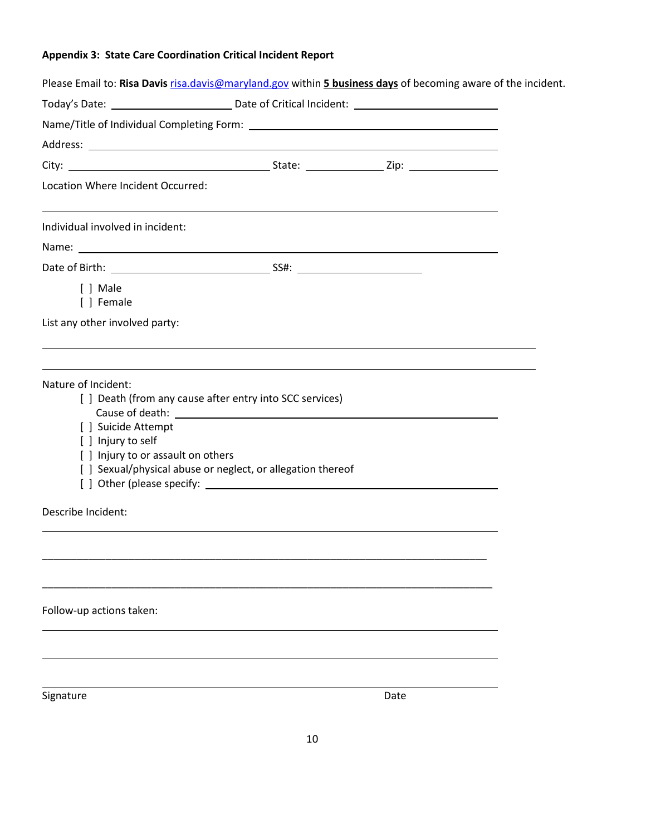# **Appendix 3: State Care Coordination Critical Incident Report**

| Please Email to: Risa Davis risa.davis@maryland.gov within 5 business days of becoming aware of the incident. |                                                                                                                         |      |  |
|---------------------------------------------------------------------------------------------------------------|-------------------------------------------------------------------------------------------------------------------------|------|--|
|                                                                                                               |                                                                                                                         |      |  |
|                                                                                                               |                                                                                                                         |      |  |
|                                                                                                               |                                                                                                                         |      |  |
|                                                                                                               |                                                                                                                         |      |  |
| Location Where Incident Occurred:                                                                             |                                                                                                                         |      |  |
| Individual involved in incident:                                                                              |                                                                                                                         |      |  |
|                                                                                                               |                                                                                                                         |      |  |
|                                                                                                               |                                                                                                                         |      |  |
| [ ] Male<br>[ ] Female                                                                                        |                                                                                                                         |      |  |
| List any other involved party:                                                                                |                                                                                                                         |      |  |
| Nature of Incident:<br>[ ] Suicide Attempt<br>[ ] Injury to self<br>[] Injury to or assault on others         | [ ] Death (from any cause after entry into SCC services)<br>[ ] Sexual/physical abuse or neglect, or allegation thereof |      |  |
| Describe Incident:                                                                                            |                                                                                                                         |      |  |
|                                                                                                               |                                                                                                                         |      |  |
| Follow-up actions taken:                                                                                      |                                                                                                                         |      |  |
|                                                                                                               |                                                                                                                         |      |  |
| Signature                                                                                                     |                                                                                                                         | Date |  |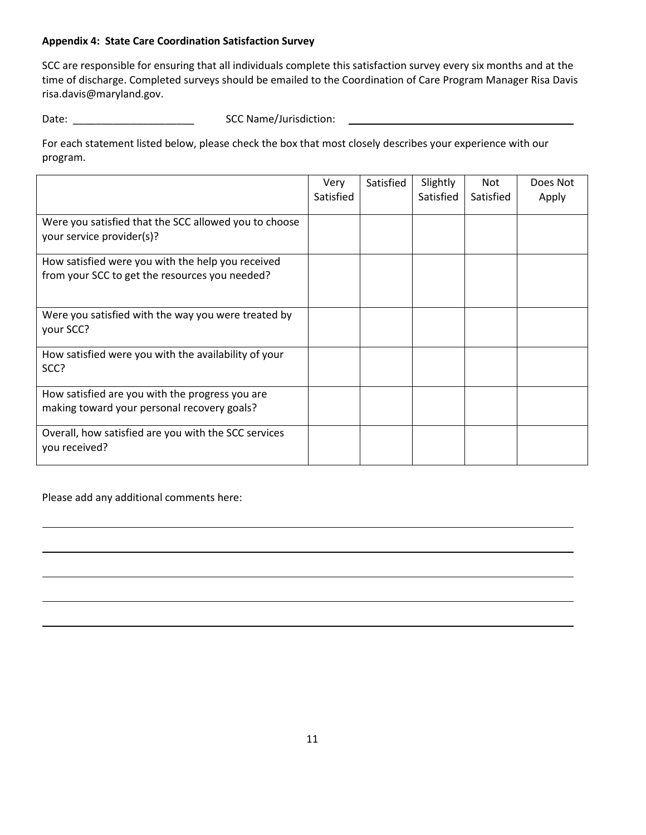## **Appendix 4: State Care Coordination Satisfaction Survey**

SCC are responsible for ensuring that all individuals complete this satisfaction survey every six months and at the time of discharge. Completed surveys should be emailed to the Coordination of Care Program Manager Risa Davis risa.davis@maryland.gov.

Date: \_\_\_\_\_\_\_\_\_\_\_\_\_\_\_\_\_\_\_\_\_ SCC Name/Jurisdiction:

For each statement listed below, please check the box that most closely describes your experience with our program.

|                                                                                                     | Very<br>Satisfied | Satisfied | Slightly<br>Satisfied | Not<br>Satisfied | Does Not<br>Apply |
|-----------------------------------------------------------------------------------------------------|-------------------|-----------|-----------------------|------------------|-------------------|
| Were you satisfied that the SCC allowed you to choose<br>your service provider(s)?                  |                   |           |                       |                  |                   |
| How satisfied were you with the help you received<br>from your SCC to get the resources you needed? |                   |           |                       |                  |                   |
| Were you satisfied with the way you were treated by<br>your SCC?                                    |                   |           |                       |                  |                   |
| How satisfied were you with the availability of your<br>SCC?                                        |                   |           |                       |                  |                   |
| How satisfied are you with the progress you are<br>making toward your personal recovery goals?      |                   |           |                       |                  |                   |
| Overall, how satisfied are you with the SCC services<br>you received?                               |                   |           |                       |                  |                   |

Please add any additional comments here: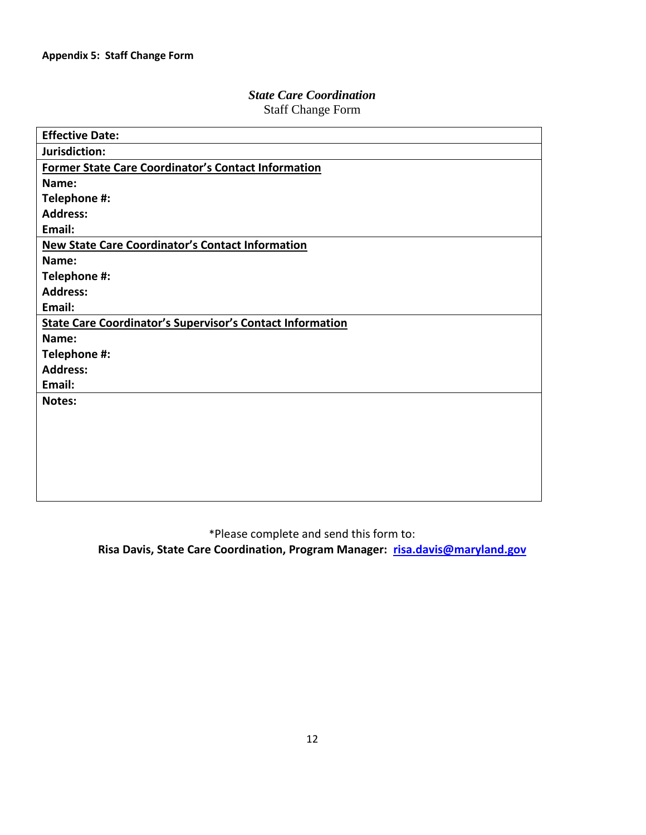## *State Care Coordination* Staff Change Form

| <b>Effective Date:</b>                                           |
|------------------------------------------------------------------|
| Jurisdiction:                                                    |
| <b>Former State Care Coordinator's Contact Information</b>       |
| Name:                                                            |
| Telephone #:                                                     |
| <b>Address:</b>                                                  |
| Email:                                                           |
| <b>New State Care Coordinator's Contact Information</b>          |
| Name:                                                            |
| Telephone #:                                                     |
| <b>Address:</b>                                                  |
| Email:                                                           |
| <b>State Care Coordinator's Supervisor's Contact Information</b> |
| Name:                                                            |
| Telephone #:                                                     |
| <b>Address:</b>                                                  |
| Email:                                                           |
| Notes:                                                           |
|                                                                  |
|                                                                  |
|                                                                  |
|                                                                  |
|                                                                  |
|                                                                  |

\*Please complete and send this form to:

**Risa Davis, State Care Coordination, Program Manager: [risa.davis@maryland.gov](mailto:risa.davis@maryland.gov)**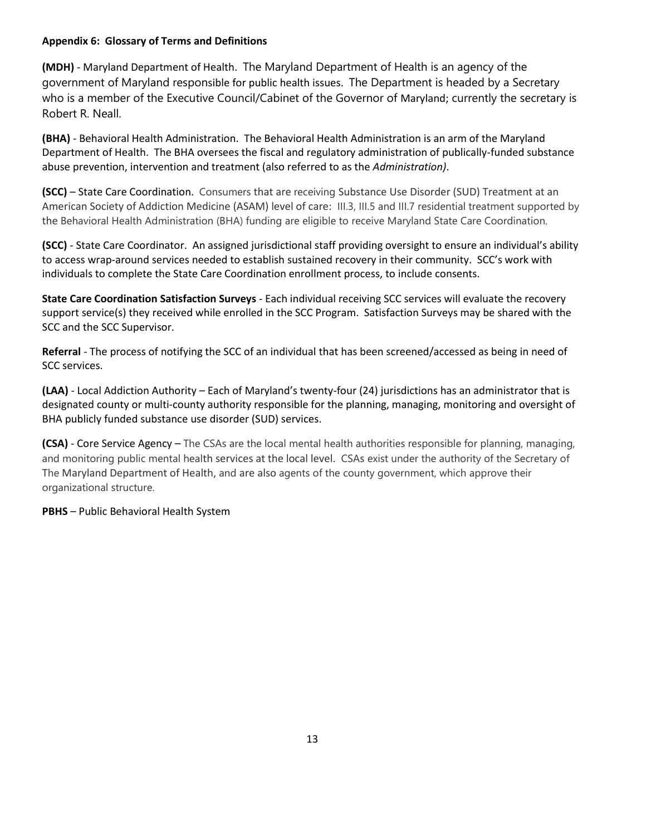## **Appendix 6: Glossary of Terms and Definitions**

**(MDH)** - Maryland Department of Health. The Maryland Department of Health is an agency of the government of Maryland responsible for public health issues. The Department is headed by a Secretary who is a member of the Executive Council/Cabinet of the Governor of Maryland; currently the secretary is Robert R. Neall.

**(BHA)** - Behavioral Health Administration. The Behavioral Health Administration is an arm of the Maryland Department of Health. The BHA oversees the fiscal and regulatory administration of publically-funded substance abuse prevention, intervention and treatment (also referred to as the *Administration)*.

**(SCC)** – State Care Coordination. Consumers that are receiving Substance Use Disorder (SUD) Treatment at an American Society of Addiction Medicine (ASAM) level of care: III.3, III.5 and III.7 residential treatment supported by the Behavioral Health Administration (BHA) funding are eligible to receive Maryland State Care Coordination.

**(SCC)** - State Care Coordinator. An assigned jurisdictional staff providing oversight to ensure an individual's ability to access wrap-around services needed to establish sustained recovery in their community. SCC's work with individuals to complete the State Care Coordination enrollment process, to include consents.

**State Care Coordination Satisfaction Surveys** - Each individual receiving SCC services will evaluate the recovery support service(s) they received while enrolled in the SCC Program. Satisfaction Surveys may be shared with the SCC and the SCC Supervisor.

**Referral** - The process of notifying the SCC of an individual that has been screened/accessed as being in need of SCC services.

**(LAA)** - Local Addiction Authority – Each of Maryland's twenty-four (24) jurisdictions has an administrator that is designated county or multi-county authority responsible for the planning, managing, monitoring and oversight of BHA publicly funded substance use disorder (SUD) services.

**(CSA)** - Core Service Agency – The CSAs are the local mental health authorities responsible for planning, managing, and monitoring public mental health services at the local level. CSAs exist under the authority of the Secretary of The Maryland Department of Health, and are also agents of the county government, which approve their organizational structure.

**PBHS** – Public Behavioral Health System